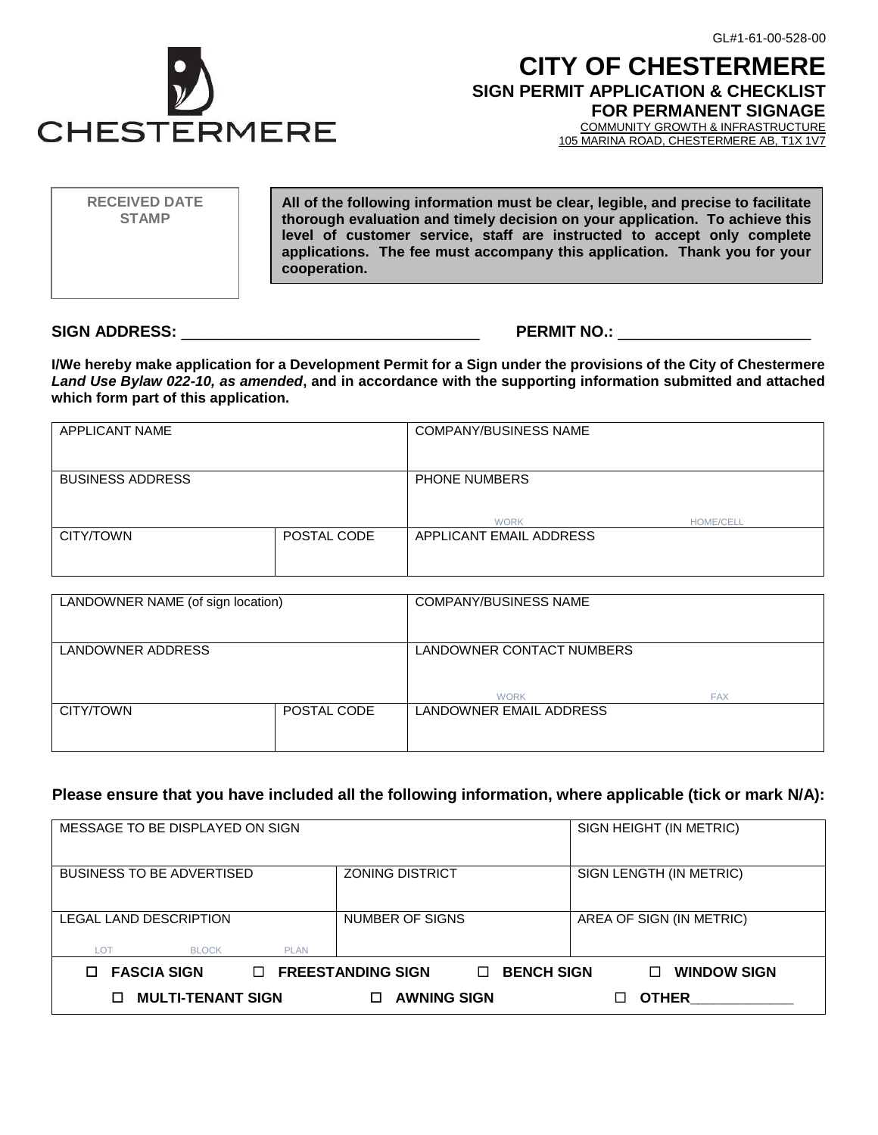

# **CITY OF CHESTERMERE SIGN PERMIT APPLICATION & CHECKLIST FOR PERMANENT SIGNAGE**

COMMUNITY GROWTH & INFRASTRUCTURE

105 MARINA ROAD, CHESTERMERE AB, T1X 1V7

**All of the following information must be clear, legible, and precise to facilitate thorough evaluation and timely decision on your application. To achieve this level of customer service, staff are instructed to accept only complete applications. The fee must accompany this application. Thank you for your cooperation. RECEIVED DATE STAMP**

### **SIGN ADDRESS:** \_\_\_\_\_\_\_\_\_\_\_\_\_\_\_\_\_\_\_\_\_\_\_\_\_\_\_\_\_\_\_\_\_\_ **PERMIT NO.:** \_\_\_\_\_\_\_\_\_\_\_\_\_\_\_\_\_\_\_\_\_\_

**I/We hereby make application for a Development Permit for a Sign under the provisions of the City of Chestermere**  *Land Use Bylaw 022-10, as amended***, and in accordance with the supporting information submitted and attached which form part of this application.**

| APPLICANT NAME          |             | <b>COMPANY/BUSINESS NAME</b>        |                  |
|-------------------------|-------------|-------------------------------------|------------------|
| <b>BUSINESS ADDRESS</b> |             | <b>PHONE NUMBERS</b><br><b>WORK</b> | <b>HOME/CELL</b> |
| CITY/TOWN               | POSTAL CODE | APPLICANT EMAIL ADDRESS             |                  |

| LANDOWNER NAME (of sign location) |             | <b>COMPANY/BUSINESS NAME</b>   |  |
|-----------------------------------|-------------|--------------------------------|--|
| LANDOWNER ADDRESS                 |             | LANDOWNER CONTACT NUMBERS      |  |
|                                   |             | <b>FAX</b><br><b>WORK</b>      |  |
| CITY/TOWN                         | POSTAL CODE | <b>LANDOWNER EMAIL ADDRESS</b> |  |

## **Please ensure that you have included all the following information, where applicable (tick or mark N/A):**

| MESSAGE TO BE DISPLAYED ON SIGN    |                                                         | SIGN HEIGHT (IN METRIC)  |
|------------------------------------|---------------------------------------------------------|--------------------------|
|                                    |                                                         |                          |
|                                    |                                                         |                          |
| <b>BUSINESS TO BE ADVERTISED</b>   | <b>ZONING DISTRICT</b>                                  | SIGN LENGTH (IN METRIC)  |
|                                    |                                                         |                          |
|                                    |                                                         |                          |
|                                    |                                                         |                          |
| LEGAL LAND DESCRIPTION             | NUMBER OF SIGNS                                         | AREA OF SIGN (IN METRIC) |
|                                    |                                                         |                          |
|                                    |                                                         |                          |
| LOT<br><b>BLOCK</b><br><b>PLAN</b> |                                                         |                          |
|                                    |                                                         |                          |
| <b>FASCIA SIGN</b><br>П.           | <b>FREESTANDING SIGN</b><br><b>BENCH SIGN</b><br>$\Box$ | <b>WINDOW SIGN</b><br>П  |
|                                    |                                                         |                          |
| <b>MULTI-TENANT SIGN</b>           | <b>AWNING SIGN</b>                                      | <b>OTHER</b>             |